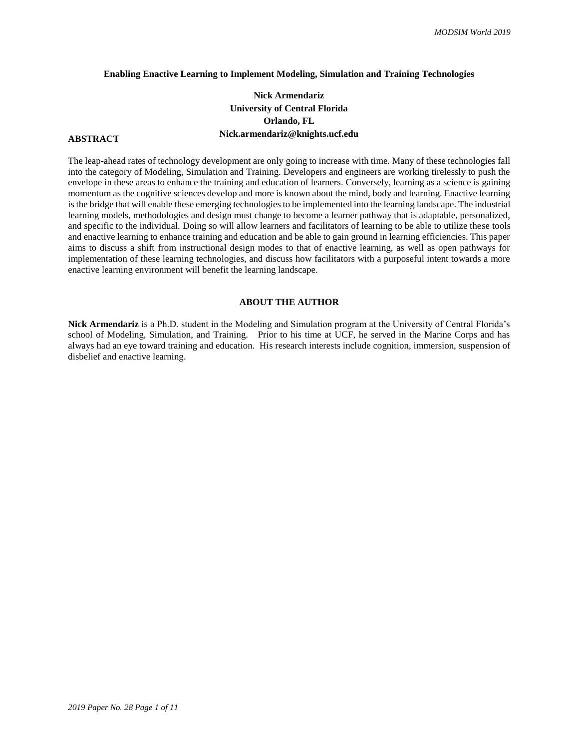#### **Enabling Enactive Learning to Implement Modeling, Simulation and Training Technologies**

## **Nick Armendariz University of Central Florida Orlando, FL Nick.armendariz@knights.ucf.edu**

## **ABSTRACT**

The leap-ahead rates of technology development are only going to increase with time. Many of these technologies fall into the category of Modeling, Simulation and Training. Developers and engineers are working tirelessly to push the envelope in these areas to enhance the training and education of learners. Conversely, learning as a science is gaining momentum as the cognitive sciences develop and more is known about the mind, body and learning. Enactive learning is the bridge that will enable these emerging technologies to be implemented into the learning landscape. The industrial learning models, methodologies and design must change to become a learner pathway that is adaptable, personalized, and specific to the individual. Doing so will allow learners and facilitators of learning to be able to utilize these tools and enactive learning to enhance training and education and be able to gain ground in learning efficiencies. This paper aims to discuss a shift from instructional design modes to that of enactive learning, as well as open pathways for implementation of these learning technologies, and discuss how facilitators with a purposeful intent towards a more enactive learning environment will benefit the learning landscape.

#### **ABOUT THE AUTHOR**

**Nick Armendariz** is a Ph.D. student in the Modeling and Simulation program at the University of Central Florida's school of Modeling, Simulation, and Training. Prior to his time at UCF, he served in the Marine Corps and has always had an eye toward training and education. His research interests include cognition, immersion, suspension of disbelief and enactive learning.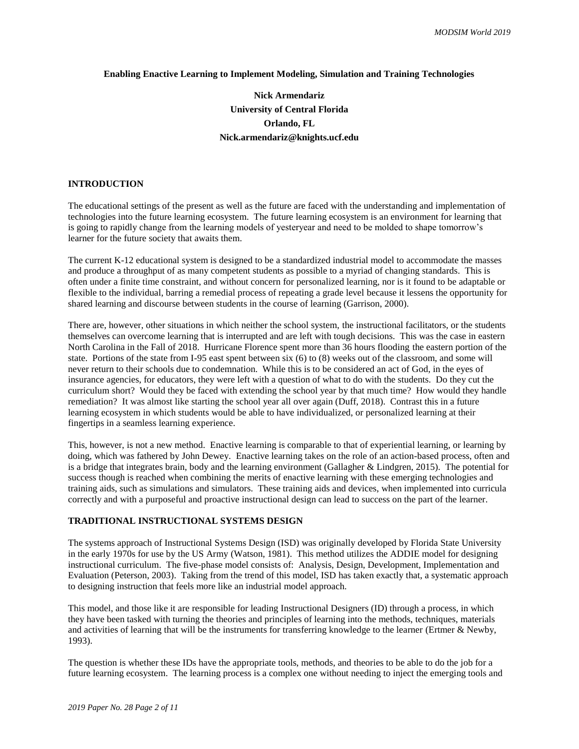#### **Enabling Enactive Learning to Implement Modeling, Simulation and Training Technologies**

# **Nick Armendariz University of Central Florida Orlando, FL Nick.armendariz@knights.ucf.edu**

## **INTRODUCTION**

The educational settings of the present as well as the future are faced with the understanding and implementation of technologies into the future learning ecosystem. The future learning ecosystem is an environment for learning that is going to rapidly change from the learning models of yesteryear and need to be molded to shape tomorrow's learner for the future society that awaits them.

The current K-12 educational system is designed to be a standardized industrial model to accommodate the masses and produce a throughput of as many competent students as possible to a myriad of changing standards. This is often under a finite time constraint, and without concern for personalized learning, nor is it found to be adaptable or flexible to the individual, barring a remedial process of repeating a grade level because it lessens the opportunity for shared learning and discourse between students in the course of learning (Garrison, 2000).

There are, however, other situations in which neither the school system, the instructional facilitators, or the students themselves can overcome learning that is interrupted and are left with tough decisions. This was the case in eastern North Carolina in the Fall of 2018. Hurricane Florence spent more than 36 hours flooding the eastern portion of the state. Portions of the state from I-95 east spent between six (6) to (8) weeks out of the classroom, and some will never return to their schools due to condemnation. While this is to be considered an act of God, in the eyes of insurance agencies, for educators, they were left with a question of what to do with the students. Do they cut the curriculum short? Would they be faced with extending the school year by that much time? How would they handle remediation? It was almost like starting the school year all over again (Duff, 2018). Contrast this in a future learning ecosystem in which students would be able to have individualized, or personalized learning at their fingertips in a seamless learning experience.

This, however, is not a new method. Enactive learning is comparable to that of experiential learning, or learning by doing, which was fathered by John Dewey. Enactive learning takes on the role of an action-based process, often and is a bridge that integrates brain, body and the learning environment (Gallagher & Lindgren, 2015). The potential for success though is reached when combining the merits of enactive learning with these emerging technologies and training aids, such as simulations and simulators. These training aids and devices, when implemented into curricula correctly and with a purposeful and proactive instructional design can lead to success on the part of the learner.

#### **TRADITIONAL INSTRUCTIONAL SYSTEMS DESIGN**

The systems approach of Instructional Systems Design (ISD) was originally developed by Florida State University in the early 1970s for use by the US Army (Watson, 1981). This method utilizes the ADDIE model for designing instructional curriculum. The five-phase model consists of: Analysis, Design, Development, Implementation and Evaluation (Peterson, 2003). Taking from the trend of this model, ISD has taken exactly that, a systematic approach to designing instruction that feels more like an industrial model approach.

This model, and those like it are responsible for leading Instructional Designers (ID) through a process, in which they have been tasked with turning the theories and principles of learning into the methods, techniques, materials and activities of learning that will be the instruments for transferring knowledge to the learner (Ertmer & Newby, 1993).

The question is whether these IDs have the appropriate tools, methods, and theories to be able to do the job for a future learning ecosystem. The learning process is a complex one without needing to inject the emerging tools and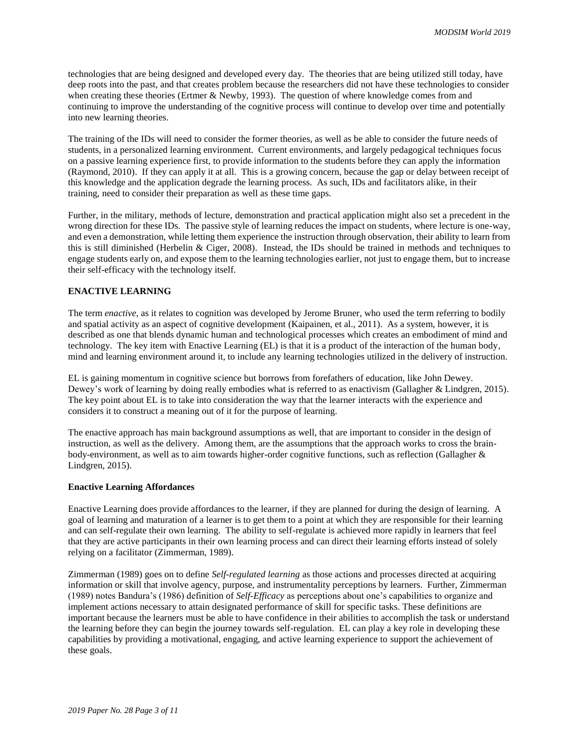technologies that are being designed and developed every day. The theories that are being utilized still today, have deep roots into the past, and that creates problem because the researchers did not have these technologies to consider when creating these theories (Ertmer & Newby, 1993). The question of where knowledge comes from and continuing to improve the understanding of the cognitive process will continue to develop over time and potentially into new learning theories.

The training of the IDs will need to consider the former theories, as well as be able to consider the future needs of students, in a personalized learning environment. Current environments, and largely pedagogical techniques focus on a passive learning experience first, to provide information to the students before they can apply the information (Raymond, 2010). If they can apply it at all. This is a growing concern, because the gap or delay between receipt of this knowledge and the application degrade the learning process. As such, IDs and facilitators alike, in their training, need to consider their preparation as well as these time gaps.

Further, in the military, methods of lecture, demonstration and practical application might also set a precedent in the wrong direction for these IDs. The passive style of learning reduces the impact on students, where lecture is one-way, and even a demonstration, while letting them experience the instruction through observation, their ability to learn from this is still diminished (Herbelin & Ciger, 2008). Instead, the IDs should be trained in methods and techniques to engage students early on, and expose them to the learning technologies earlier, not just to engage them, but to increase their self-efficacy with the technology itself.

## **ENACTIVE LEARNING**

The term *enactive*, as it relates to cognition was developed by Jerome Bruner, who used the term referring to bodily and spatial activity as an aspect of cognitive development (Kaipainen, et al., 2011). As a system, however, it is described as one that blends dynamic human and technological processes which creates an embodiment of mind and technology. The key item with Enactive Learning (EL) is that it is a product of the interaction of the human body, mind and learning environment around it, to include any learning technologies utilized in the delivery of instruction.

EL is gaining momentum in cognitive science but borrows from forefathers of education, like John Dewey. Dewey's work of learning by doing really embodies what is referred to as enactivism (Gallagher & Lindgren, 2015). The key point about EL is to take into consideration the way that the learner interacts with the experience and considers it to construct a meaning out of it for the purpose of learning.

The enactive approach has main background assumptions as well, that are important to consider in the design of instruction, as well as the delivery. Among them, are the assumptions that the approach works to cross the brainbody-environment, as well as to aim towards higher-order cognitive functions, such as reflection (Gallagher & Lindgren, 2015).

#### **Enactive Learning Affordances**

Enactive Learning does provide affordances to the learner, if they are planned for during the design of learning. A goal of learning and maturation of a learner is to get them to a point at which they are responsible for their learning and can self-regulate their own learning. The ability to self-regulate is achieved more rapidly in learners that feel that they are active participants in their own learning process and can direct their learning efforts instead of solely relying on a facilitator (Zimmerman, 1989).

Zimmerman (1989) goes on to define *Self-regulated learning* as those actions and processes directed at acquiring information or skill that involve agency, purpose, and instrumentality perceptions by learners. Further, Zimmerman (1989) notes Bandura's (1986) definition of *Self-Efficacy* as perceptions about one's capabilities to organize and implement actions necessary to attain designated performance of skill for specific tasks. These definitions are important because the learners must be able to have confidence in their abilities to accomplish the task or understand the learning before they can begin the journey towards self-regulation. EL can play a key role in developing these capabilities by providing a motivational, engaging, and active learning experience to support the achievement of these goals.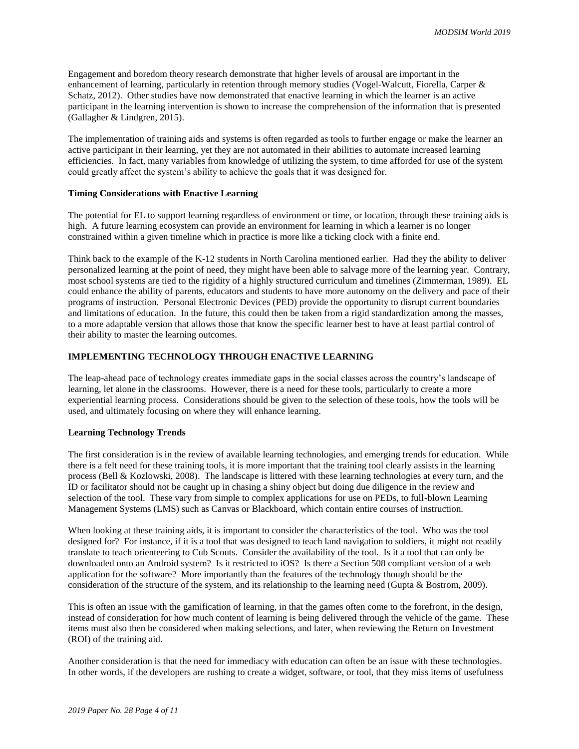Engagement and boredom theory research demonstrate that higher levels of arousal are important in the enhancement of learning, particularly in retention through memory studies (Vogel-Walcutt, Fiorella, Carper & Schatz, 2012). Other studies have now demonstrated that enactive learning in which the learner is an active participant in the learning intervention is shown to increase the comprehension of the information that is presented (Gallagher & Lindgren, 2015).

The implementation of training aids and systems is often regarded as tools to further engage or make the learner an active participant in their learning, yet they are not automated in their abilities to automate increased learning efficiencies. In fact, many variables from knowledge of utilizing the system, to time afforded for use of the system could greatly affect the system's ability to achieve the goals that it was designed for.

#### **Timing Considerations with Enactive Learning**

The potential for EL to support learning regardless of environment or time, or location, through these training aids is high. A future learning ecosystem can provide an environment for learning in which a learner is no longer constrained within a given timeline which in practice is more like a ticking clock with a finite end.

Think back to the example of the K-12 students in North Carolina mentioned earlier. Had they the ability to deliver personalized learning at the point of need, they might have been able to salvage more of the learning year. Contrary, most school systems are tied to the rigidity of a highly structured curriculum and timelines (Zimmerman, 1989). EL could enhance the ability of parents, educators and students to have more autonomy on the delivery and pace of their programs of instruction. Personal Electronic Devices (PED) provide the opportunity to disrupt current boundaries and limitations of education. In the future, this could then be taken from a rigid standardization among the masses, to a more adaptable version that allows those that know the specific learner best to have at least partial control of their ability to master the learning outcomes.

## **IMPLEMENTING TECHNOLOGY THROUGH ENACTIVE LEARNING**

The leap-ahead pace of technology creates immediate gaps in the social classes across the country's landscape of learning, let alone in the classrooms. However, there is a need for these tools, particularly to create a more experiential learning process. Considerations should be given to the selection of these tools, how the tools will be used, and ultimately focusing on where they will enhance learning.

## **Learning Technology Trends**

The first consideration is in the review of available learning technologies, and emerging trends for education. While there is a felt need for these training tools, it is more important that the training tool clearly assists in the learning process (Bell & Kozlowski, 2008). The landscape is littered with these learning technologies at every turn, and the ID or facilitator should not be caught up in chasing a shiny object but doing due diligence in the review and selection of the tool. These vary from simple to complex applications for use on PEDs, to full-blown Learning Management Systems (LMS) such as Canvas or Blackboard, which contain entire courses of instruction.

When looking at these training aids, it is important to consider the characteristics of the tool. Who was the tool designed for? For instance, if it is a tool that was designed to teach land navigation to soldiers, it might not readily translate to teach orienteering to Cub Scouts. Consider the availability of the tool. Is it a tool that can only be downloaded onto an Android system? Is it restricted to iOS? Is there a Section 508 compliant version of a web application for the software? More importantly than the features of the technology though should be the consideration of the structure of the system, and its relationship to the learning need (Gupta & Bostrom, 2009).

This is often an issue with the gamification of learning, in that the games often come to the forefront, in the design, instead of consideration for how much content of learning is being delivered through the vehicle of the game. These items must also then be considered when making selections, and later, when reviewing the Return on Investment (ROI) of the training aid.

Another consideration is that the need for immediacy with education can often be an issue with these technologies. In other words, if the developers are rushing to create a widget, software, or tool, that they miss items of usefulness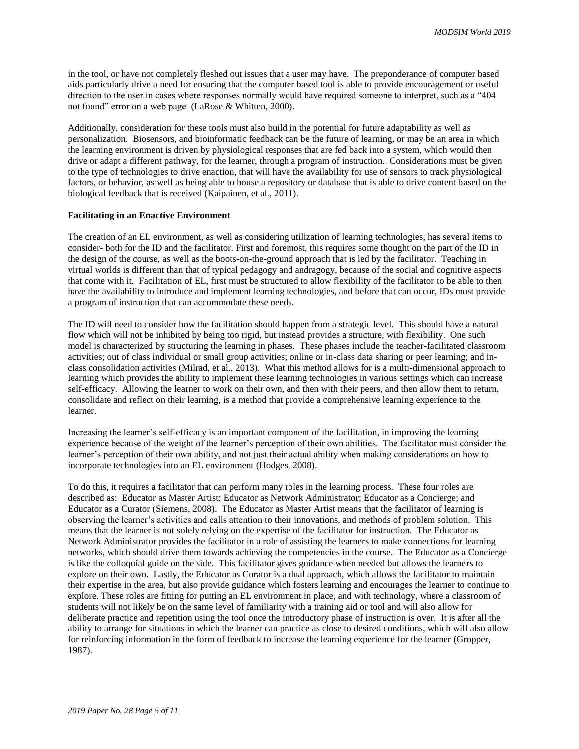in the tool, or have not completely fleshed out issues that a user may have. The preponderance of computer based aids particularly drive a need for ensuring that the computer based tool is able to provide encouragement or useful direction to the user in cases where responses normally would have required someone to interpret, such as a "404 not found" error on a web page (LaRose & Whitten, 2000).

Additionally, consideration for these tools must also build in the potential for future adaptability as well as personalization. Biosensors, and bioinformatic feedback can be the future of learning, or may be an area in which the learning environment is driven by physiological responses that are fed back into a system, which would then drive or adapt a different pathway, for the learner, through a program of instruction. Considerations must be given to the type of technologies to drive enaction, that will have the availability for use of sensors to track physiological factors, or behavior, as well as being able to house a repository or database that is able to drive content based on the biological feedback that is received (Kaipainen, et al., 2011).

#### **Facilitating in an Enactive Environment**

The creation of an EL environment, as well as considering utilization of learning technologies, has several items to consider- both for the ID and the facilitator. First and foremost, this requires some thought on the part of the ID in the design of the course, as well as the boots-on-the-ground approach that is led by the facilitator. Teaching in virtual worlds is different than that of typical pedagogy and andragogy, because of the social and cognitive aspects that come with it. Facilitation of EL, first must be structured to allow flexibility of the facilitator to be able to then have the availability to introduce and implement learning technologies, and before that can occur, IDs must provide a program of instruction that can accommodate these needs.

The ID will need to consider how the facilitation should happen from a strategic level. This should have a natural flow which will not be inhibited by being too rigid, but instead provides a structure, with flexibility. One such model is characterized by structuring the learning in phases. These phases include the teacher-facilitated classroom activities; out of class individual or small group activities; online or in-class data sharing or peer learning; and inclass consolidation activities (Milrad, et al., 2013). What this method allows for is a multi-dimensional approach to learning which provides the ability to implement these learning technologies in various settings which can increase self-efficacy. Allowing the learner to work on their own, and then with their peers, and then allow them to return, consolidate and reflect on their learning, is a method that provide a comprehensive learning experience to the learner.

Increasing the learner's self-efficacy is an important component of the facilitation, in improving the learning experience because of the weight of the learner's perception of their own abilities. The facilitator must consider the learner's perception of their own ability, and not just their actual ability when making considerations on how to incorporate technologies into an EL environment (Hodges, 2008).

To do this, it requires a facilitator that can perform many roles in the learning process. These four roles are described as: Educator as Master Artist; Educator as Network Administrator; Educator as a Concierge; and Educator as a Curator (Siemens, 2008). The Educator as Master Artist means that the facilitator of learning is observing the learner's activities and calls attention to their innovations, and methods of problem solution. This means that the learner is not solely relying on the expertise of the facilitator for instruction. The Educator as Network Administrator provides the facilitator in a role of assisting the learners to make connections for learning networks, which should drive them towards achieving the competencies in the course. The Educator as a Concierge is like the colloquial guide on the side. This facilitator gives guidance when needed but allows the learners to explore on their own. Lastly, the Educator as Curator is a dual approach, which allows the facilitator to maintain their expertise in the area, but also provide guidance which fosters learning and encourages the learner to continue to explore. These roles are fitting for putting an EL environment in place, and with technology, where a classroom of students will not likely be on the same level of familiarity with a training aid or tool and will also allow for deliberate practice and repetition using the tool once the introductory phase of instruction is over. It is after all the ability to arrange for situations in which the learner can practice as close to desired conditions, which will also allow for reinforcing information in the form of feedback to increase the learning experience for the learner (Gropper, 1987).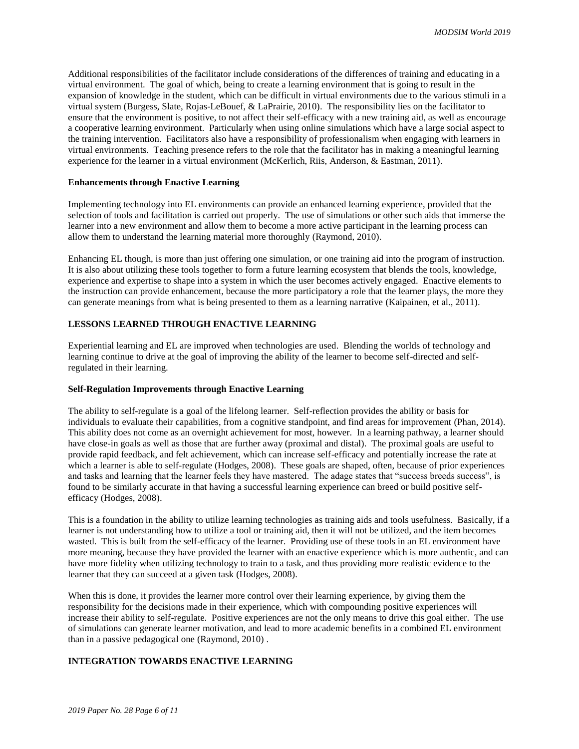Additional responsibilities of the facilitator include considerations of the differences of training and educating in a virtual environment. The goal of which, being to create a learning environment that is going to result in the expansion of knowledge in the student, which can be difficult in virtual environments due to the various stimuli in a virtual system (Burgess, Slate, Rojas-LeBouef, & LaPrairie, 2010). The responsibility lies on the facilitator to ensure that the environment is positive, to not affect their self-efficacy with a new training aid, as well as encourage a cooperative learning environment. Particularly when using online simulations which have a large social aspect to the training intervention. Facilitators also have a responsibility of professionalism when engaging with learners in virtual environments. Teaching presence refers to the role that the facilitator has in making a meaningful learning experience for the learner in a virtual environment (McKerlich, Riis, Anderson, & Eastman, 2011).

#### **Enhancements through Enactive Learning**

Implementing technology into EL environments can provide an enhanced learning experience, provided that the selection of tools and facilitation is carried out properly. The use of simulations or other such aids that immerse the learner into a new environment and allow them to become a more active participant in the learning process can allow them to understand the learning material more thoroughly (Raymond, 2010).

Enhancing EL though, is more than just offering one simulation, or one training aid into the program of instruction. It is also about utilizing these tools together to form a future learning ecosystem that blends the tools, knowledge, experience and expertise to shape into a system in which the user becomes actively engaged. Enactive elements to the instruction can provide enhancement, because the more participatory a role that the learner plays, the more they can generate meanings from what is being presented to them as a learning narrative (Kaipainen, et al., 2011).

### **LESSONS LEARNED THROUGH ENACTIVE LEARNING**

Experiential learning and EL are improved when technologies are used. Blending the worlds of technology and learning continue to drive at the goal of improving the ability of the learner to become self-directed and selfregulated in their learning.

#### **Self-Regulation Improvements through Enactive Learning**

The ability to self-regulate is a goal of the lifelong learner. Self-reflection provides the ability or basis for individuals to evaluate their capabilities, from a cognitive standpoint, and find areas for improvement (Phan, 2014). This ability does not come as an overnight achievement for most, however. In a learning pathway, a learner should have close-in goals as well as those that are further away (proximal and distal). The proximal goals are useful to provide rapid feedback, and felt achievement, which can increase self-efficacy and potentially increase the rate at which a learner is able to self-regulate (Hodges, 2008). These goals are shaped, often, because of prior experiences and tasks and learning that the learner feels they have mastered. The adage states that "success breeds success", is found to be similarly accurate in that having a successful learning experience can breed or build positive selfefficacy (Hodges, 2008).

This is a foundation in the ability to utilize learning technologies as training aids and tools usefulness. Basically, if a learner is not understanding how to utilize a tool or training aid, then it will not be utilized, and the item becomes wasted. This is built from the self-efficacy of the learner. Providing use of these tools in an EL environment have more meaning, because they have provided the learner with an enactive experience which is more authentic, and can have more fidelity when utilizing technology to train to a task, and thus providing more realistic evidence to the learner that they can succeed at a given task (Hodges, 2008).

When this is done, it provides the learner more control over their learning experience, by giving them the responsibility for the decisions made in their experience, which with compounding positive experiences will increase their ability to self-regulate. Positive experiences are not the only means to drive this goal either. The use of simulations can generate learner motivation, and lead to more academic benefits in a combined EL environment than in a passive pedagogical one (Raymond, 2010) .

## **INTEGRATION TOWARDS ENACTIVE LEARNING**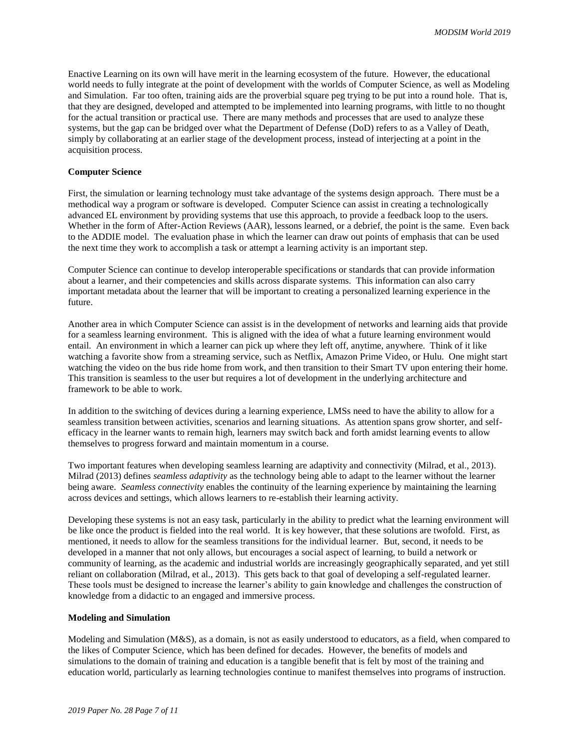Enactive Learning on its own will have merit in the learning ecosystem of the future. However, the educational world needs to fully integrate at the point of development with the worlds of Computer Science, as well as Modeling and Simulation. Far too often, training aids are the proverbial square peg trying to be put into a round hole. That is, that they are designed, developed and attempted to be implemented into learning programs, with little to no thought for the actual transition or practical use. There are many methods and processes that are used to analyze these systems, but the gap can be bridged over what the Department of Defense (DoD) refers to as a Valley of Death, simply by collaborating at an earlier stage of the development process, instead of interjecting at a point in the acquisition process.

#### **Computer Science**

First, the simulation or learning technology must take advantage of the systems design approach. There must be a methodical way a program or software is developed. Computer Science can assist in creating a technologically advanced EL environment by providing systems that use this approach, to provide a feedback loop to the users. Whether in the form of After-Action Reviews (AAR), lessons learned, or a debrief, the point is the same. Even back to the ADDIE model. The evaluation phase in which the learner can draw out points of emphasis that can be used the next time they work to accomplish a task or attempt a learning activity is an important step.

Computer Science can continue to develop interoperable specifications or standards that can provide information about a learner, and their competencies and skills across disparate systems. This information can also carry important metadata about the learner that will be important to creating a personalized learning experience in the future.

Another area in which Computer Science can assist is in the development of networks and learning aids that provide for a seamless learning environment. This is aligned with the idea of what a future learning environment would entail. An environment in which a learner can pick up where they left off, anytime, anywhere. Think of it like watching a favorite show from a streaming service, such as Netflix, Amazon Prime Video, or Hulu. One might start watching the video on the bus ride home from work, and then transition to their Smart TV upon entering their home. This transition is seamless to the user but requires a lot of development in the underlying architecture and framework to be able to work.

In addition to the switching of devices during a learning experience, LMSs need to have the ability to allow for a seamless transition between activities, scenarios and learning situations. As attention spans grow shorter, and selfefficacy in the learner wants to remain high, learners may switch back and forth amidst learning events to allow themselves to progress forward and maintain momentum in a course.

Two important features when developing seamless learning are adaptivity and connectivity (Milrad, et al., 2013). Milrad (2013) defines *seamless adaptivity* as the technology being able to adapt to the learner without the learner being aware. *Seamless connectivity* enables the continuity of the learning experience by maintaining the learning across devices and settings, which allows learners to re-establish their learning activity.

Developing these systems is not an easy task, particularly in the ability to predict what the learning environment will be like once the product is fielded into the real world. It is key however, that these solutions are twofold. First, as mentioned, it needs to allow for the seamless transitions for the individual learner. But, second, it needs to be developed in a manner that not only allows, but encourages a social aspect of learning, to build a network or community of learning, as the academic and industrial worlds are increasingly geographically separated, and yet still reliant on collaboration (Milrad, et al., 2013). This gets back to that goal of developing a self-regulated learner. These tools must be designed to increase the learner's ability to gain knowledge and challenges the construction of knowledge from a didactic to an engaged and immersive process.

#### **Modeling and Simulation**

Modeling and Simulation (M&S), as a domain, is not as easily understood to educators, as a field, when compared to the likes of Computer Science, which has been defined for decades. However, the benefits of models and simulations to the domain of training and education is a tangible benefit that is felt by most of the training and education world, particularly as learning technologies continue to manifest themselves into programs of instruction.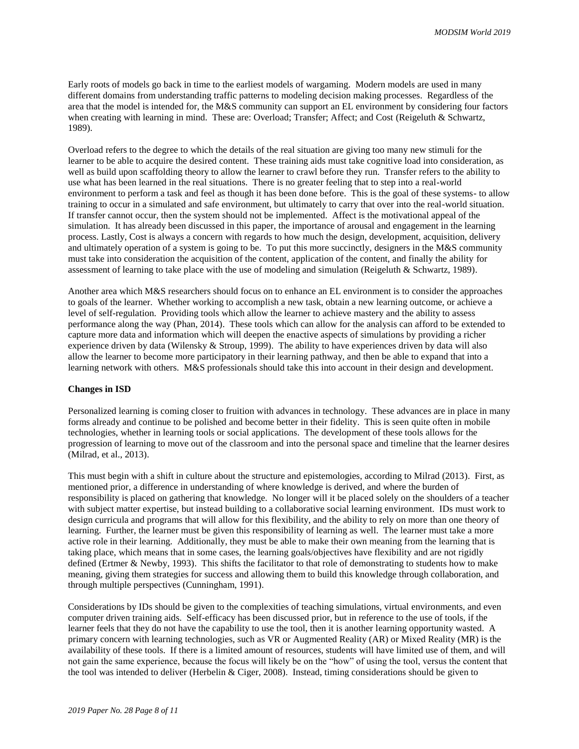Early roots of models go back in time to the earliest models of wargaming. Modern models are used in many different domains from understanding traffic patterns to modeling decision making processes. Regardless of the area that the model is intended for, the M&S community can support an EL environment by considering four factors when creating with learning in mind. These are: Overload; Transfer; Affect; and Cost (Reigeluth & Schwartz, 1989).

Overload refers to the degree to which the details of the real situation are giving too many new stimuli for the learner to be able to acquire the desired content. These training aids must take cognitive load into consideration, as well as build upon scaffolding theory to allow the learner to crawl before they run. Transfer refers to the ability to use what has been learned in the real situations. There is no greater feeling that to step into a real-world environment to perform a task and feel as though it has been done before. This is the goal of these systems- to allow training to occur in a simulated and safe environment, but ultimately to carry that over into the real-world situation. If transfer cannot occur, then the system should not be implemented. Affect is the motivational appeal of the simulation. It has already been discussed in this paper, the importance of arousal and engagement in the learning process. Lastly, Cost is always a concern with regards to how much the design, development, acquisition, delivery and ultimately operation of a system is going to be. To put this more succinctly, designers in the M&S community must take into consideration the acquisition of the content, application of the content, and finally the ability for assessment of learning to take place with the use of modeling and simulation (Reigeluth & Schwartz, 1989).

Another area which M&S researchers should focus on to enhance an EL environment is to consider the approaches to goals of the learner. Whether working to accomplish a new task, obtain a new learning outcome, or achieve a level of self-regulation. Providing tools which allow the learner to achieve mastery and the ability to assess performance along the way (Phan, 2014). These tools which can allow for the analysis can afford to be extended to capture more data and information which will deepen the enactive aspects of simulations by providing a richer experience driven by data (Wilensky & Stroup, 1999). The ability to have experiences driven by data will also allow the learner to become more participatory in their learning pathway, and then be able to expand that into a learning network with others. M&S professionals should take this into account in their design and development.

#### **Changes in ISD**

Personalized learning is coming closer to fruition with advances in technology. These advances are in place in many forms already and continue to be polished and become better in their fidelity. This is seen quite often in mobile technologies, whether in learning tools or social applications. The development of these tools allows for the progression of learning to move out of the classroom and into the personal space and timeline that the learner desires (Milrad, et al., 2013).

This must begin with a shift in culture about the structure and epistemologies, according to Milrad (2013). First, as mentioned prior, a difference in understanding of where knowledge is derived, and where the burden of responsibility is placed on gathering that knowledge. No longer will it be placed solely on the shoulders of a teacher with subject matter expertise, but instead building to a collaborative social learning environment. IDs must work to design curricula and programs that will allow for this flexibility, and the ability to rely on more than one theory of learning. Further, the learner must be given this responsibility of learning as well. The learner must take a more active role in their learning. Additionally, they must be able to make their own meaning from the learning that is taking place, which means that in some cases, the learning goals/objectives have flexibility and are not rigidly defined (Ertmer & Newby, 1993). This shifts the facilitator to that role of demonstrating to students how to make meaning, giving them strategies for success and allowing them to build this knowledge through collaboration, and through multiple perspectives (Cunningham, 1991).

Considerations by IDs should be given to the complexities of teaching simulations, virtual environments, and even computer driven training aids. Self-efficacy has been discussed prior, but in reference to the use of tools, if the learner feels that they do not have the capability to use the tool, then it is another learning opportunity wasted. A primary concern with learning technologies, such as VR or Augmented Reality (AR) or Mixed Reality (MR) is the availability of these tools. If there is a limited amount of resources, students will have limited use of them, and will not gain the same experience, because the focus will likely be on the "how" of using the tool, versus the content that the tool was intended to deliver (Herbelin & Ciger, 2008). Instead, timing considerations should be given to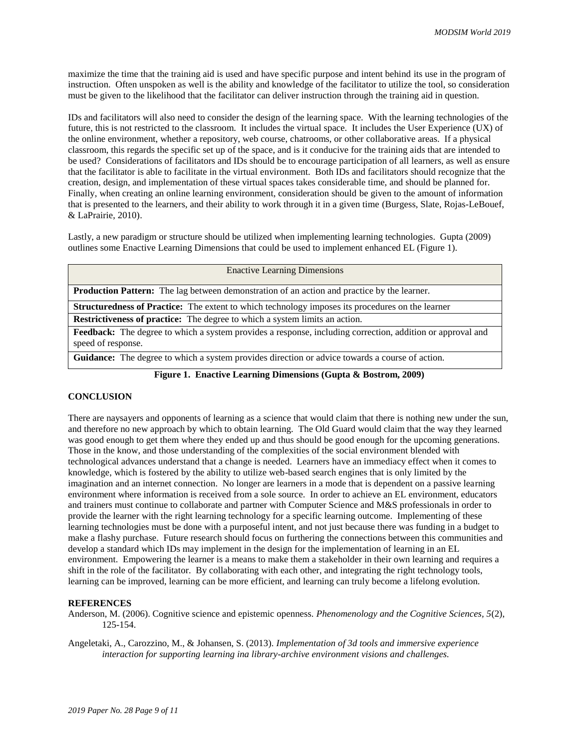maximize the time that the training aid is used and have specific purpose and intent behind its use in the program of instruction. Often unspoken as well is the ability and knowledge of the facilitator to utilize the tool, so consideration must be given to the likelihood that the facilitator can deliver instruction through the training aid in question.

IDs and facilitators will also need to consider the design of the learning space. With the learning technologies of the future, this is not restricted to the classroom. It includes the virtual space. It includes the User Experience (UX) of the online environment, whether a repository, web course, chatrooms, or other collaborative areas. If a physical classroom, this regards the specific set up of the space, and is it conducive for the training aids that are intended to be used? Considerations of facilitators and IDs should be to encourage participation of all learners, as well as ensure that the facilitator is able to facilitate in the virtual environment. Both IDs and facilitators should recognize that the creation, design, and implementation of these virtual spaces takes considerable time, and should be planned for. Finally, when creating an online learning environment, consideration should be given to the amount of information that is presented to the learners, and their ability to work through it in a given time (Burgess, Slate, Rojas-LeBouef, & LaPrairie, 2010).

Lastly, a new paradigm or structure should be utilized when implementing learning technologies. Gupta (2009) outlines some Enactive Learning Dimensions that could be used to implement enhanced EL (Figure 1).

| <b>Enactive Learning Dimensions</b>                                                               |
|---------------------------------------------------------------------------------------------------|
| <b>Production Pattern:</b> The lag between demonstration of an action and practice by the learner |

**Structuredness of Practice:** The extent to which technology imposes its procedures on the learner

**Restrictiveness of practice:** The degree to which a system limits an action.

**Feedback:** The degree to which a system provides a response, including correction, addition or approval and speed of response.

**Guidance:** The degree to which a system provides direction or advice towards a course of action.

## **Figure 1. Enactive Learning Dimensions (Gupta & Bostrom, 2009)**

## **CONCLUSION**

There are naysayers and opponents of learning as a science that would claim that there is nothing new under the sun, and therefore no new approach by which to obtain learning. The Old Guard would claim that the way they learned was good enough to get them where they ended up and thus should be good enough for the upcoming generations. Those in the know, and those understanding of the complexities of the social environment blended with technological advances understand that a change is needed. Learners have an immediacy effect when it comes to knowledge, which is fostered by the ability to utilize web-based search engines that is only limited by the imagination and an internet connection. No longer are learners in a mode that is dependent on a passive learning environment where information is received from a sole source. In order to achieve an EL environment, educators and trainers must continue to collaborate and partner with Computer Science and M&S professionals in order to provide the learner with the right learning technology for a specific learning outcome. Implementing of these learning technologies must be done with a purposeful intent, and not just because there was funding in a budget to make a flashy purchase. Future research should focus on furthering the connections between this communities and develop a standard which IDs may implement in the design for the implementation of learning in an EL environment. Empowering the learner is a means to make them a stakeholder in their own learning and requires a shift in the role of the facilitator. By collaborating with each other, and integrating the right technology tools, learning can be improved, learning can be more efficient, and learning can truly become a lifelong evolution.

#### **REFERENCES**

Anderson, M. (2006). Cognitive science and epistemic openness. *Phenomenology and the Cognitive Sciences, 5*(2), 125-154.

Angeletaki, A., Carozzino, M., & Johansen, S. (2013). *Implementation of 3d tools and immersive experience interaction for supporting learning ina library-archive environment visions and challenges.*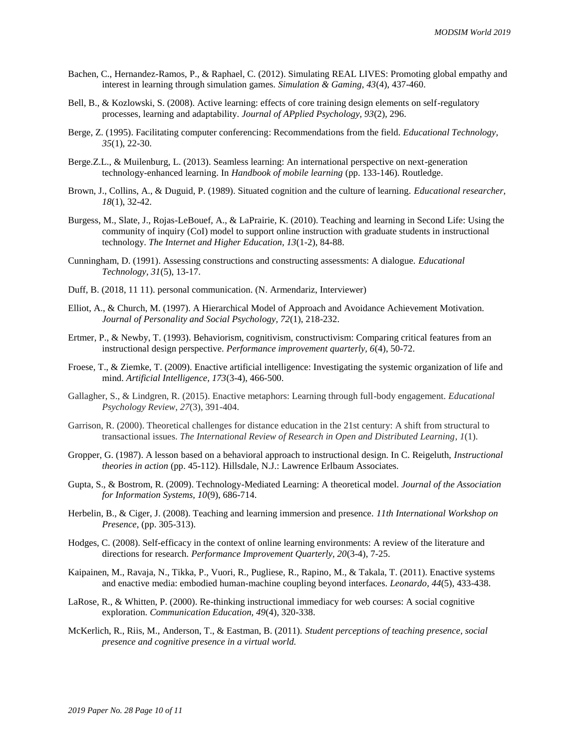- Bachen, C., Hernandez-Ramos, P., & Raphael, C. (2012). Simulating REAL LIVES: Promoting global empathy and interest in learning through simulation games. *Simulation & Gaming, 43*(4), 437-460.
- Bell, B., & Kozlowski, S. (2008). Active learning: effects of core training design elements on self-regulatory processes, learning and adaptability. *Journal of APplied Psychology, 93*(2), 296.
- Berge, Z. (1995). Facilitating computer conferencing: Recommendations from the field. *Educational Technology, 35*(1), 22-30.
- Berge.Z.L., & Muilenburg, L. (2013). Seamless learning: An international perspective on next-generation technology-enhanced learning. In *Handbook of mobile learning* (pp. 133-146). Routledge.
- Brown, J., Collins, A., & Duguid, P. (1989). Situated cognition and the culture of learning. *Educational researcher, 18*(1), 32-42.
- Burgess, M., Slate, J., Rojas-LeBouef, A., & LaPrairie, K. (2010). Teaching and learning in Second Life: Using the community of inquiry (CoI) model to support online instruction with graduate students in instructional technology. *The Internet and Higher Education, 13*(1-2), 84-88.
- Cunningham, D. (1991). Assessing constructions and constructing assessments: A dialogue. *Educational Technology, 31*(5), 13-17.
- Duff, B. (2018, 11 11). personal communication. (N. Armendariz, Interviewer)
- Elliot, A., & Church, M. (1997). A Hierarchical Model of Approach and Avoidance Achievement Motivation. *Journal of Personality and Social Psychology, 72*(1), 218-232.
- Ertmer, P., & Newby, T. (1993). Behaviorism, cognitivism, constructivism: Comparing critical features from an instructional design perspective. *Performance improvement quarterly, 6*(4), 50-72.
- Froese, T., & Ziemke, T. (2009). Enactive artificial intelligence: Investigating the systemic organization of life and mind. *Artificial Intelligence, 173*(3-4), 466-500.
- Gallagher, S., & Lindgren, R. (2015). Enactive metaphors: Learning through full-body engagement. *Educational Psychology Review*, *27*(3), 391-404.
- Garrison, R. (2000). Theoretical challenges for distance education in the 21st century: A shift from structural to transactional issues. *The International Review of Research in Open and Distributed Learning*, *1*(1).
- Gropper, G. (1987). A lesson based on a behavioral approach to instructional design. In C. Reigeluth, *Instructional theories in action* (pp. 45-112). Hillsdale, N.J.: Lawrence Erlbaum Associates.
- Gupta, S., & Bostrom, R. (2009). Technology-Mediated Learning: A theoretical model. *Journal of the Association for Information Systems, 10*(9), 686-714.
- Herbelin, B., & Ciger, J. (2008). Teaching and learning immersion and presence. *11th International Workshop on Presence*, (pp. 305-313).
- Hodges, C. (2008). Self-efficacy in the context of online learning environments: A review of the literature and directions for research. *Performance Improvement Quarterly, 20*(3-4), 7-25.
- Kaipainen, M., Ravaja, N., Tikka, P., Vuori, R., Pugliese, R., Rapino, M., & Takala, T. (2011). Enactive systems and enactive media: embodied human-machine coupling beyond interfaces. *Leonardo, 44*(5), 433-438.
- LaRose, R., & Whitten, P. (2000). Re-thinking instructional immediacy for web courses: A social cognitive exploration. *Communication Education, 49*(4), 320-338.
- McKerlich, R., Riis, M., Anderson, T., & Eastman, B. (2011). *Student perceptions of teaching presence, social presence and cognitive presence in a virtual world.*